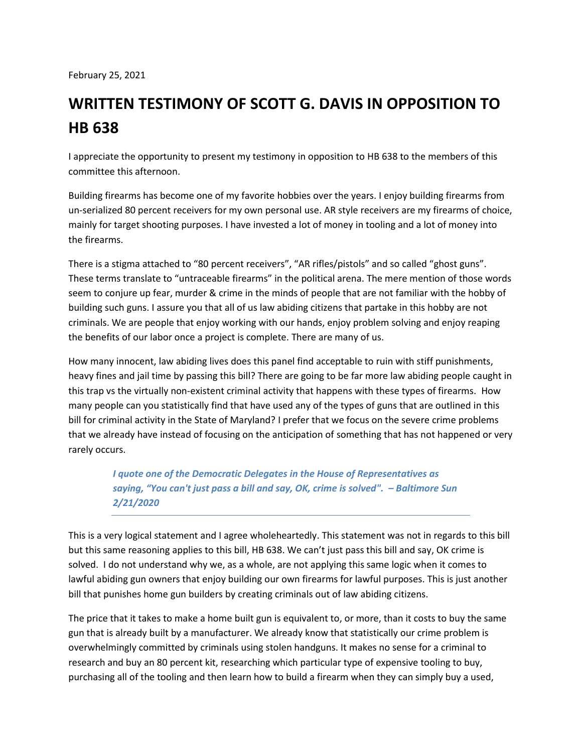February 25, 2021

## **WRITTEN TESTIMONY OF SCOTT G. DAVIS IN OPPOSITION TO HB 638**

I appreciate the opportunity to present my testimony in opposition to HB 638 to the members of this committee this afternoon.

Building firearms has become one of my favorite hobbies over the years. I enjoy building firearms from un-serialized 80 percent receivers for my own personal use. AR style receivers are my firearms of choice, mainly for target shooting purposes. I have invested a lot of money in tooling and a lot of money into the firearms.

There is a stigma attached to "80 percent receivers", "AR rifles/pistols" and so called "ghost guns". These terms translate to "untraceable firearms" in the political arena. The mere mention of those words seem to conjure up fear, murder & crime in the minds of people that are not familiar with the hobby of building such guns. I assure you that all of us law abiding citizens that partake in this hobby are not criminals. We are people that enjoy working with our hands, enjoy problem solving and enjoy reaping the benefits of our labor once a project is complete. There are many of us.

How many innocent, law abiding lives does this panel find acceptable to ruin with stiff punishments, heavy fines and jail time by passing this bill? There are going to be far more law abiding people caught in this trap vs the virtually non-existent criminal activity that happens with these types of firearms. How many people can you statistically find that have used any of the types of guns that are outlined in this bill for criminal activity in the State of Maryland? I prefer that we focus on the severe crime problems that we already have instead of focusing on the anticipation of something that has not happened or very rarely occurs.

> *I quote one of the Democratic Delegates in the House of Representatives as saying, "You can't just pass a bill and say, OK, crime is solved". – Baltimore Sun 2/21/2020*

This is a very logical statement and I agree wholeheartedly. This statement was not in regards to this bill but this same reasoning applies to this bill, HB 638. We can't just pass this bill and say, OK crime is solved. I do not understand why we, as a whole, are not applying this same logic when it comes to lawful abiding gun owners that enjoy building our own firearms for lawful purposes. This is just another bill that punishes home gun builders by creating criminals out of law abiding citizens.

The price that it takes to make a home built gun is equivalent to, or more, than it costs to buy the same gun that is already built by a manufacturer. We already know that statistically our crime problem is overwhelmingly committed by criminals using stolen handguns. It makes no sense for a criminal to research and buy an 80 percent kit, researching which particular type of expensive tooling to buy, purchasing all of the tooling and then learn how to build a firearm when they can simply buy a used,